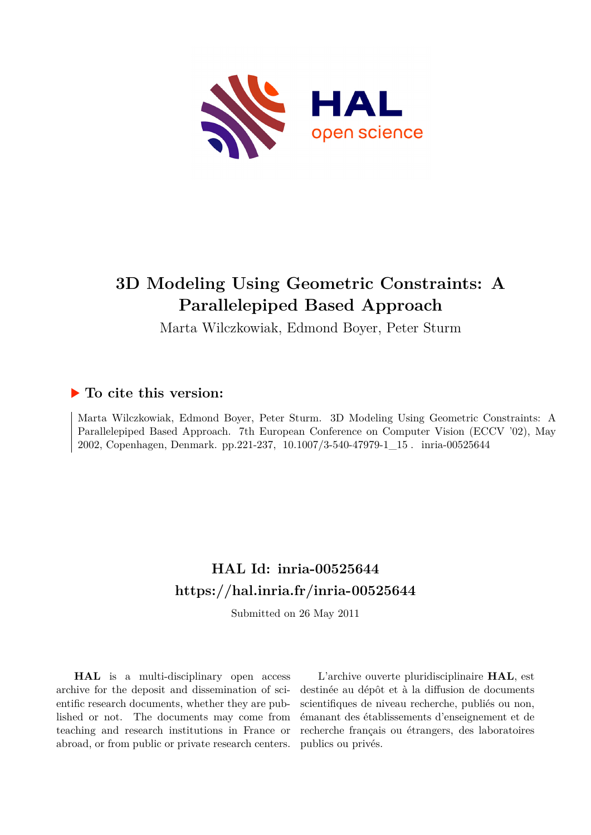

# **3D Modeling Using Geometric Constraints: A Parallelepiped Based Approach**

Marta Wilczkowiak, Edmond Boyer, Peter Sturm

# **To cite this version:**

Marta Wilczkowiak, Edmond Boyer, Peter Sturm. 3D Modeling Using Geometric Constraints: A Parallelepiped Based Approach. 7th European Conference on Computer Vision (ECCV '02), May 2002, Copenhagen, Denmark. pp.221-237, 10.1007/3-540-47979-1\_15. inria-00525644

# **HAL Id: inria-00525644 <https://hal.inria.fr/inria-00525644>**

Submitted on 26 May 2011

**HAL** is a multi-disciplinary open access archive for the deposit and dissemination of scientific research documents, whether they are published or not. The documents may come from teaching and research institutions in France or abroad, or from public or private research centers.

L'archive ouverte pluridisciplinaire **HAL**, est destinée au dépôt et à la diffusion de documents scientifiques de niveau recherche, publiés ou non, émanant des établissements d'enseignement et de recherche français ou étrangers, des laboratoires publics ou privés.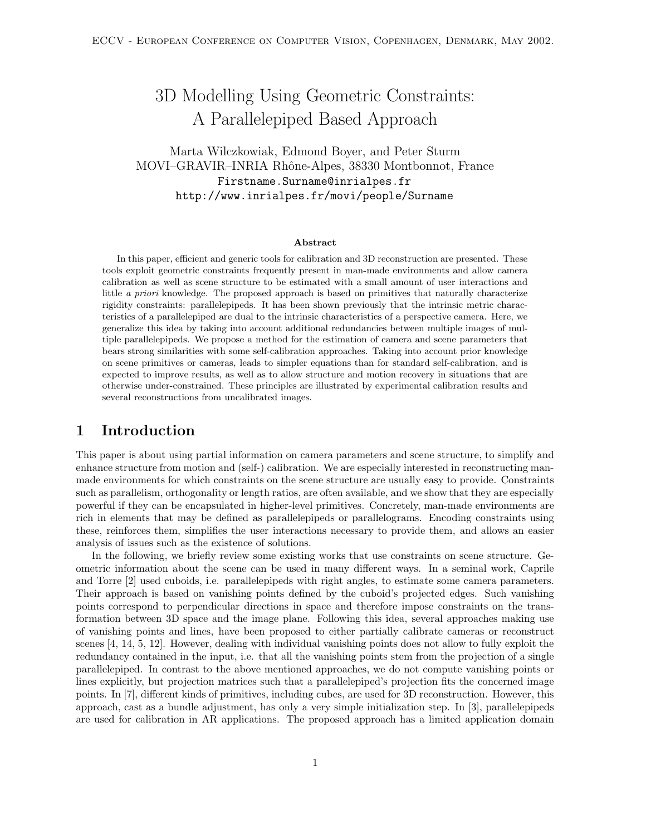# 3D Modelling Using Geometric Constraints: A Parallelepiped Based Approach

## Marta Wilczkowiak, Edmond Boyer, and Peter Sturm MOVI–GRAVIR–INRIA Rhˆone-Alpes, 38330 Montbonnot, France Firstname.Surname@inrialpes.fr http://www.inrialpes.fr/movi/people/Surname

#### Abstract

In this paper, efficient and generic tools for calibration and 3D reconstruction are presented. These tools exploit geometric constraints frequently present in man-made environments and allow camera calibration as well as scene structure to be estimated with a small amount of user interactions and little *a priori* knowledge. The proposed approach is based on primitives that naturally characterize rigidity constraints: parallelepipeds. It has been shown previously that the intrinsic metric characteristics of a parallelepiped are dual to the intrinsic characteristics of a perspective camera. Here, we generalize this idea by taking into account additional redundancies between multiple images of multiple parallelepipeds. We propose a method for the estimation of camera and scene parameters that bears strong similarities with some self-calibration approaches. Taking into account prior knowledge on scene primitives or cameras, leads to simpler equations than for standard self-calibration, and is expected to improve results, as well as to allow structure and motion recovery in situations that are otherwise under-constrained. These principles are illustrated by experimental calibration results and several reconstructions from uncalibrated images.

## 1 Introduction

This paper is about using partial information on camera parameters and scene structure, to simplify and enhance structure from motion and (self-) calibration. We are especially interested in reconstructing manmade environments for which constraints on the scene structure are usually easy to provide. Constraints such as parallelism, orthogonality or length ratios, are often available, and we show that they are especially powerful if they can be encapsulated in higher-level primitives. Concretely, man-made environments are rich in elements that may be defined as parallelepipeds or parallelograms. Encoding constraints using these, reinforces them, simplifies the user interactions necessary to provide them, and allows an easier analysis of issues such as the existence of solutions.

In the following, we briefly review some existing works that use constraints on scene structure. Geometric information about the scene can be used in many different ways. In a seminal work, Caprile and Torre [2] used cuboids, i.e. parallelepipeds with right angles, to estimate some camera parameters. Their approach is based on vanishing points defined by the cuboid's projected edges. Such vanishing points correspond to perpendicular directions in space and therefore impose constraints on the transformation between 3D space and the image plane. Following this idea, several approaches making use of vanishing points and lines, have been proposed to either partially calibrate cameras or reconstruct scenes [4, 14, 5, 12]. However, dealing with individual vanishing points does not allow to fully exploit the redundancy contained in the input, i.e. that all the vanishing points stem from the projection of a single parallelepiped. In contrast to the above mentioned approaches, we do not compute vanishing points or lines explicitly, but projection matrices such that a parallelepiped's projection fits the concerned image points. In [7], different kinds of primitives, including cubes, are used for 3D reconstruction. However, this approach, cast as a bundle adjustment, has only a very simple initialization step. In [3], parallelepipeds are used for calibration in AR applications. The proposed approach has a limited application domain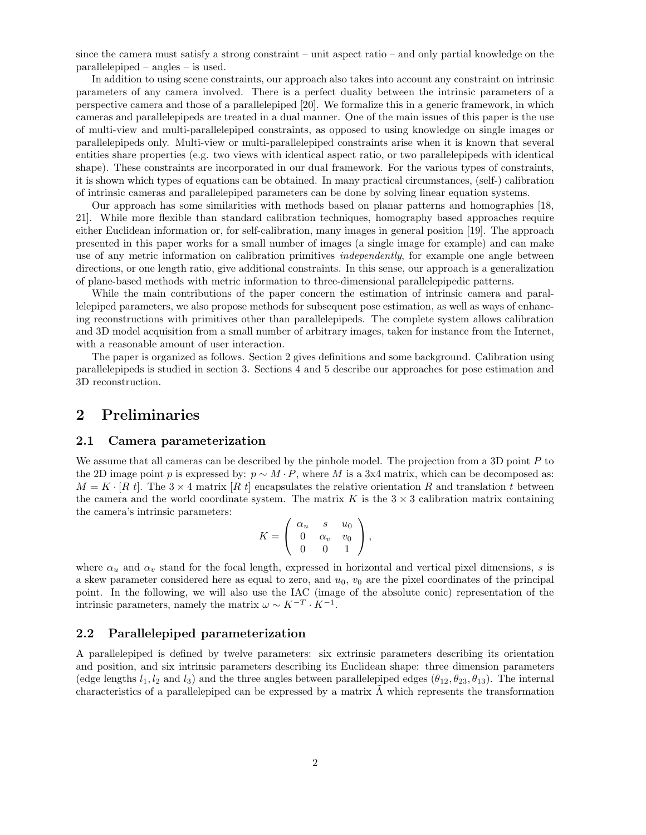since the camera must satisfy a strong constraint – unit aspect ratio – and only partial knowledge on the parallelepiped – angles – is used.

In addition to using scene constraints, our approach also takes into account any constraint on intrinsic parameters of any camera involved. There is a perfect duality between the intrinsic parameters of a perspective camera and those of a parallelepiped [20]. We formalize this in a generic framework, in which cameras and parallelepipeds are treated in a dual manner. One of the main issues of this paper is the use of multi-view and multi-parallelepiped constraints, as opposed to using knowledge on single images or parallelepipeds only. Multi-view or multi-parallelepiped constraints arise when it is known that several entities share properties (e.g. two views with identical aspect ratio, or two parallelepipeds with identical shape). These constraints are incorporated in our dual framework. For the various types of constraints, it is shown which types of equations can be obtained. In many practical circumstances, (self-) calibration of intrinsic cameras and parallelepiped parameters can be done by solving linear equation systems.

Our approach has some similarities with methods based on planar patterns and homographies [18, 21]. While more flexible than standard calibration techniques, homography based approaches require either Euclidean information or, for self-calibration, many images in general position [19]. The approach presented in this paper works for a small number of images (a single image for example) and can make use of any metric information on calibration primitives *independently*, for example one angle between directions, or one length ratio, give additional constraints. In this sense, our approach is a generalization of plane-based methods with metric information to three-dimensional parallelepipedic patterns.

While the main contributions of the paper concern the estimation of intrinsic camera and parallelepiped parameters, we also propose methods for subsequent pose estimation, as well as ways of enhancing reconstructions with primitives other than parallelepipeds. The complete system allows calibration and 3D model acquisition from a small number of arbitrary images, taken for instance from the Internet, with a reasonable amount of user interaction.

The paper is organized as follows. Section 2 gives definitions and some background. Calibration using parallelepipeds is studied in section 3. Sections 4 and 5 describe our approaches for pose estimation and 3D reconstruction.

### 2 Preliminaries

#### 2.1 Camera parameterization

We assume that all cameras can be described by the pinhole model. The projection from a 3D point P to the 2D image point p is expressed by:  $p \sim M \cdot P$ , where M is a 3x4 matrix, which can be decomposed as:  $M = K \cdot [R \ t]$ . The 3 × 4 matrix  $[R \ t]$  encapsulates the relative orientation R and translation t between the camera and the world coordinate system. The matrix K is the  $3 \times 3$  calibration matrix containing the camera's intrinsic parameters:

$$
K = \left( \begin{array}{ccc} \alpha_u & s & u_0 \\ 0 & \alpha_v & v_0 \\ 0 & 0 & 1 \end{array} \right),
$$

where  $\alpha_u$  and  $\alpha_v$  stand for the focal length, expressed in horizontal and vertical pixel dimensions, s is a skew parameter considered here as equal to zero, and  $u_0$ ,  $v_0$  are the pixel coordinates of the principal point. In the following, we will also use the IAC (image of the absolute conic) representation of the intrinsic parameters, namely the matrix  $\omega \sim K^{-T} \cdot K^{-1}$ .

#### 2.2 Parallelepiped parameterization

A parallelepiped is defined by twelve parameters: six extrinsic parameters describing its orientation and position, and six intrinsic parameters describing its Euclidean shape: three dimension parameters (edge lengths  $l_1, l_2$  and  $l_3$ ) and the three angles between parallelepiped edges  $(\theta_{12}, \theta_{23}, \theta_{13})$ . The internal characteristics of a parallelepiped can be expressed by a matrix  $\Lambda$  which represents the transformation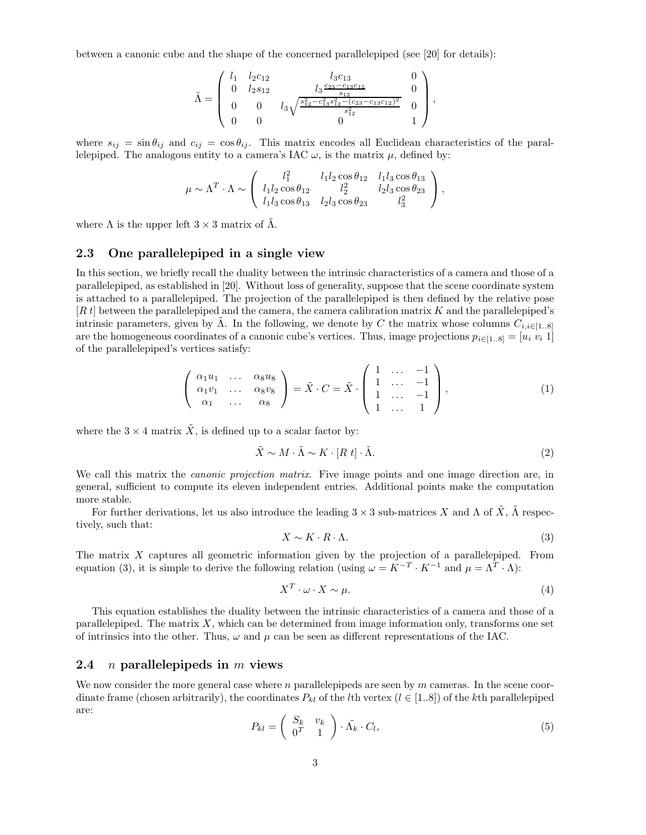between a canonic cube and the shape of the concerned parallelepiped (see [20] for details):

$$
\tilde{\Lambda} = \begin{pmatrix} l_1 & l_2c_{12} & l_3c_{13} & 0 \\ 0 & l_2s_{12} & l_3\frac{c_{23}-c_{13}c_{12}}{s_{12}} & 0 \\ 0 & 0 & l_3\sqrt{\frac{s_{12}^2 - c_{13}^2 s_{12}^2 - (c_{23} - c_{13}c_{12})^2}{s_{12}^2}} & 0 \\ 0 & 0 & 0 & 1 \end{pmatrix},
$$

where  $s_{ij} = \sin \theta_{ij}$  and  $c_{ij} = \cos \theta_{ij}$ . This matrix encodes all Euclidean characteristics of the parallelepiped. The analogous entity to a camera's IAC  $\omega$ , is the matrix  $\mu$ , defined by:

$$
\mu \sim \Lambda^T \cdot \Lambda \sim \left( \begin{array}{ccc} l_1^2 & l_1 l_2 \cos \theta_{12} & l_1 l_3 \cos \theta_{13} \\ l_1 l_2 \cos \theta_{12} & l_2^2 & l_2 l_3 \cos \theta_{23} \\ l_1 l_3 \cos \theta_{13} & l_2 l_3 \cos \theta_{23} & l_3^2 \end{array} \right),
$$

where  $\Lambda$  is the upper left  $3 \times 3$  matrix of  $\Lambda$ .

#### 2.3 One parallelepiped in a single view

In this section, we briefly recall the duality between the intrinsic characteristics of a camera and those of a parallelepiped, as established in [20]. Without loss of generality, suppose that the scene coordinate system is attached to a parallelepiped. The projection of the parallelepiped is then defined by the relative pose  $[R t]$  between the parallelepiped and the camera, the camera calibration matrix K and the parallelepiped's intrinsic parameters, given by  $\tilde{\Lambda}$ . In the following, we denote by C the matrix whose columns  $C_{i,i\in[1..8]}$ are the homogeneous coordinates of a canonic cube's vertices. Thus, image projections  $p_{i\in[1..8]} = [u_i \ v_i \ 1]$ of the parallelepiped's vertices satisfy:

$$
\left(\begin{array}{cccc}\n\alpha_1 u_1 & \dots & \alpha_8 u_8 \\
\alpha_1 v_1 & \dots & \alpha_8 v_8 \\
\alpha_1 & \dots & \alpha_8\n\end{array}\right) = \tilde{X} \cdot C = \tilde{X} \cdot \left(\begin{array}{cccc}\n1 & \dots & -1 \\
1 & \dots & -1 \\
1 & \dots & -1 \\
1 & \dots & 1\n\end{array}\right),
$$
\n(1)

where the  $3 \times 4$  matrix  $\tilde{X}$ , is defined up to a scalar factor by:

$$
\tilde{X} \sim M \cdot \tilde{\Lambda} \sim K \cdot [R \ t] \cdot \tilde{\Lambda}.\tag{2}
$$

We call this matrix the *canonic projection matrix*. Five image points and one image direction are, in general, sufficient to compute its eleven independent entries. Additional points make the computation more stable.

For further derivations, let us also introduce the leading  $3 \times 3$  sub-matrices X and  $\Lambda$  of  $\tilde{X}$ ,  $\tilde{\Lambda}$  respectively, such that:

$$
X \sim K \cdot R \cdot \Lambda. \tag{3}
$$

The matrix X captures all geometric information given by the projection of a parallelepiped. From equation (3), it is simple to derive the following relation (using  $\omega = K^{-T} \cdot K^{-1}$  and  $\mu = \Lambda^T \cdot \Lambda$ ):

$$
X^T \cdot \omega \cdot X \sim \mu. \tag{4}
$$

This equation establishes the duality between the intrinsic characteristics of a camera and those of a parallelepiped. The matrix  $X$ , which can be determined from image information only, transforms one set of intrinsics into the other. Thus,  $\omega$  and  $\mu$  can be seen as different representations of the IAC.

#### 2.4 *n* parallelepipeds in  $m$  views

We now consider the more general case where  $n$  parallelepipeds are seen by  $m$  cameras. In the scene coordinate frame (chosen arbitrarily), the coordinates  $P_{kl}$  of the lth vertex  $(l \in [1..8])$  of the kth parallelepiped are:

$$
P_{kl} = \begin{pmatrix} S_k & v_k \\ 0^T & 1 \end{pmatrix} \cdot \tilde{\Lambda_k} \cdot C_l, \tag{5}
$$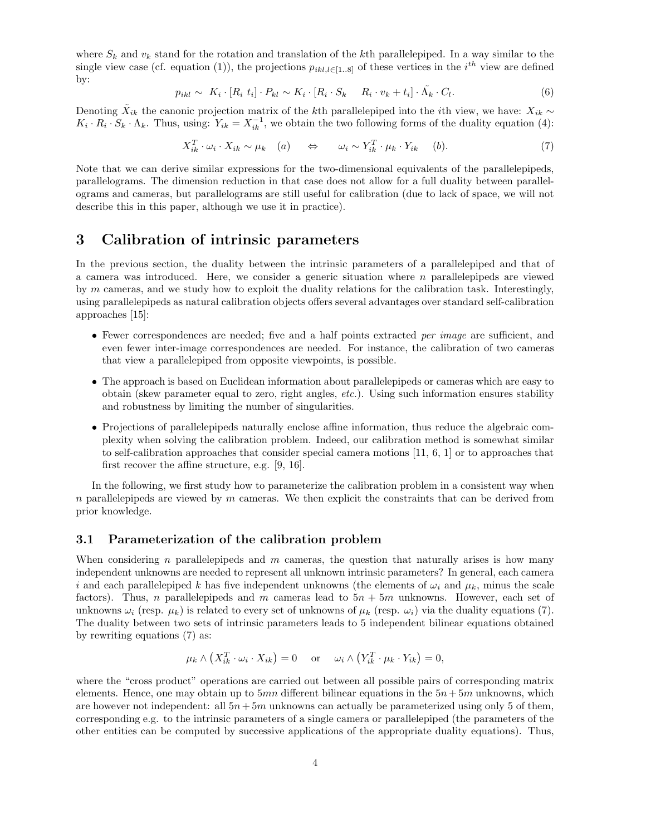where  $S_k$  and  $v_k$  stand for the rotation and translation of the kth parallelepiped. In a way similar to the single view case (cf. equation (1)), the projections  $p_{ikl,l\in[1..8]}$  of these vertices in the  $i^{th}$  view are defined by:

$$
p_{ikl} \sim K_i \cdot [R_i \ t_i] \cdot P_{kl} \sim K_i \cdot [R_i \cdot S_k \quad R_i \cdot v_k + t_i] \cdot \tilde{\Lambda}_k \cdot C_l. \tag{6}
$$

Denoting  $\tilde{X}_{ik}$  the canonic projection matrix of the kth parallelepiped into the *i*th view, we have:  $X_{ik} \sim$  $K_i \cdot R_i \cdot S_k \cdot \Lambda_k$ . Thus, using:  $Y_{ik} = X_{ik}^{-1}$ , we obtain the two following forms of the duality equation (4):

$$
X_{ik}^T \cdot \omega_i \cdot X_{ik} \sim \mu_k \quad (a) \quad \Leftrightarrow \quad \omega_i \sim Y_{ik}^T \cdot \mu_k \cdot Y_{ik} \quad (b). \tag{7}
$$

Note that we can derive similar expressions for the two-dimensional equivalents of the parallelepipeds, parallelograms. The dimension reduction in that case does not allow for a full duality between parallelograms and cameras, but parallelograms are still useful for calibration (due to lack of space, we will not describe this in this paper, although we use it in practice).

# 3 Calibration of intrinsic parameters

In the previous section, the duality between the intrinsic parameters of a parallelepiped and that of a camera was introduced. Here, we consider a generic situation where  $n$  parallelepipeds are viewed by m cameras, and we study how to exploit the duality relations for the calibration task. Interestingly, using parallelepipeds as natural calibration objects offers several advantages over standard self-calibration approaches [15]:

- Fewer correspondences are needed; five and a half points extracted *per image* are sufficient, and even fewer inter-image correspondences are needed. For instance, the calibration of two cameras that view a parallelepiped from opposite viewpoints, is possible.
- The approach is based on Euclidean information about parallelepipeds or cameras which are easy to obtain (skew parameter equal to zero, right angles, etc.). Using such information ensures stability and robustness by limiting the number of singularities.
- Projections of parallelepipeds naturally enclose affine information, thus reduce the algebraic complexity when solving the calibration problem. Indeed, our calibration method is somewhat similar to self-calibration approaches that consider special camera motions [11, 6, 1] or to approaches that first recover the affine structure, e.g. [9, 16].

In the following, we first study how to parameterize the calibration problem in a consistent way when  $n$  parallelepipeds are viewed by  $m$  cameras. We then explicit the constraints that can be derived from prior knowledge.

#### 3.1 Parameterization of the calibration problem

When considering n parallelepipeds and m cameras, the question that naturally arises is how many independent unknowns are needed to represent all unknown intrinsic parameters? In general, each camera i and each parallelepiped k has five independent unknowns (the elements of  $\omega_i$  and  $\mu_k$ , minus the scale factors). Thus, n parallelepipeds and m cameras lead to  $5n + 5m$  unknowns. However, each set of unknowns  $\omega_i$  (resp.  $\mu_k$ ) is related to every set of unknowns of  $\mu_k$  (resp.  $\omega_i$ ) via the duality equations (7). The duality between two sets of intrinsic parameters leads to 5 independent bilinear equations obtained by rewriting equations (7) as:

$$
\mu_k \wedge \left(X_{ik}^T \cdot \omega_i \cdot X_{ik}\right) = 0 \quad \text{or} \quad \omega_i \wedge \left(Y_{ik}^T \cdot \mu_k \cdot Y_{ik}\right) = 0,
$$

where the "cross product" operations are carried out between all possible pairs of corresponding matrix elements. Hence, one may obtain up to  $5mn$  different bilinear equations in the  $5n+5m$  unknowns, which are however not independent: all  $5n+5m$  unknowns can actually be parameterized using only 5 of them, corresponding e.g. to the intrinsic parameters of a single camera or parallelepiped (the parameters of the other entities can be computed by successive applications of the appropriate duality equations). Thus,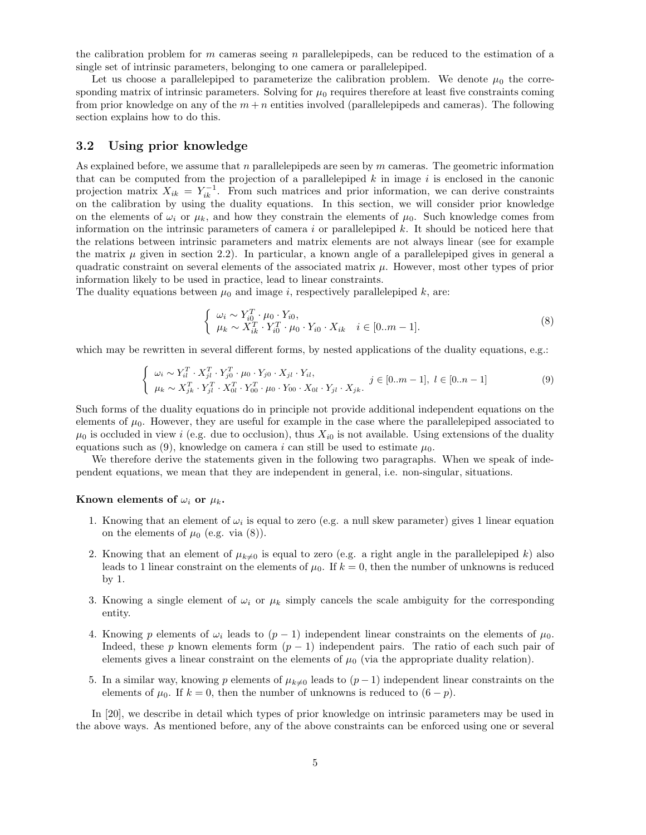the calibration problem for m cameras seeing n parallelepipeds, can be reduced to the estimation of a single set of intrinsic parameters, belonging to one camera or parallelepiped.

Let us choose a parallelepiped to parameterize the calibration problem. We denote  $\mu_0$  the corresponding matrix of intrinsic parameters. Solving for  $\mu_0$  requires therefore at least five constraints coming from prior knowledge on any of the  $m + n$  entities involved (parallelepipeds and cameras). The following section explains how to do this.

#### 3.2 Using prior knowledge

As explained before, we assume that n parallelepipeds are seen by  $m$  cameras. The geometric information that can be computed from the projection of a parallelepiped  $k$  in image  $i$  is enclosed in the canonic projection matrix  $X_{ik} = Y_{ik}^{-1}$ . From such matrices and prior information, we can derive constraints on the calibration by using the duality equations. In this section, we will consider prior knowledge on the elements of  $\omega_i$  or  $\mu_k$ , and how they constrain the elements of  $\mu_0$ . Such knowledge comes from information on the intrinsic parameters of camera  $i$  or parallelepiped  $k$ . It should be noticed here that the relations between intrinsic parameters and matrix elements are not always linear (see for example the matrix  $\mu$  given in section 2.2). In particular, a known angle of a parallelepiped gives in general a quadratic constraint on several elements of the associated matrix  $\mu$ . However, most other types of prior information likely to be used in practice, lead to linear constraints.

The duality equations between  $\mu_0$  and image i, respectively parallelepiped k, are:

$$
\begin{cases} \omega_i \sim Y_{i0}^T \cdot \mu_0 \cdot Y_{i0}, \\ \mu_k \sim X_{ik}^T \cdot Y_{i0}^T \cdot \mu_0 \cdot Y_{i0} \cdot X_{ik} \quad i \in [0..m-1]. \end{cases} \tag{8}
$$

which may be rewritten in several different forms, by nested applications of the duality equations, e.g.:

$$
\begin{cases}\n\omega_i \sim Y_{il}^T \cdot X_{jl}^T \cdot Y_{j0}^T \cdot \mu_0 \cdot Y_{j0} \cdot X_{jl} \cdot Y_{il}, & j \in [0..m-1], \ l \in [0..n-1] \\
\mu_k \sim X_{jk}^T \cdot Y_{jl}^T \cdot X_{0l}^T \cdot Y_{00}^T \cdot \mu_0 \cdot Y_{00} \cdot X_{0l} \cdot Y_{jl} \cdot X_{jk}.\n\end{cases}
$$
\n(9)

Such forms of the duality equations do in principle not provide additional independent equations on the elements of  $\mu_0$ . However, they are useful for example in the case where the parallelepiped associated to  $\mu_0$  is occluded in view i (e.g. due to occlusion), thus  $X_{i0}$  is not available. Using extensions of the duality equations such as (9), knowledge on camera i can still be used to estimate  $\mu_0$ .

We therefore derive the statements given in the following two paragraphs. When we speak of independent equations, we mean that they are independent in general, i.e. non-singular, situations.

#### Known elements of  $\omega_i$  or  $\mu_k$ .

- 1. Knowing that an element of  $\omega_i$  is equal to zero (e.g. a null skew parameter) gives 1 linear equation on the elements of  $\mu_0$  (e.g. via (8)).
- 2. Knowing that an element of  $\mu_{k\neq0}$  is equal to zero (e.g. a right angle in the parallelepiped k) also leads to 1 linear constraint on the elements of  $\mu_0$ . If  $k = 0$ , then the number of unknowns is reduced by 1.
- 3. Knowing a single element of  $\omega_i$  or  $\mu_k$  simply cancels the scale ambiguity for the corresponding entity.
- 4. Knowing p elements of  $\omega_i$  leads to  $(p-1)$  independent linear constraints on the elements of  $\mu_0$ . Indeed, these p known elements form  $(p-1)$  independent pairs. The ratio of each such pair of elements gives a linear constraint on the elements of  $\mu_0$  (via the appropriate duality relation).
- 5. In a similar way, knowing p elements of  $\mu_{k\neq0}$  leads to  $(p-1)$  independent linear constraints on the elements of  $\mu_0$ . If  $k = 0$ , then the number of unknowns is reduced to  $(6 - p)$ .

In [20], we describe in detail which types of prior knowledge on intrinsic parameters may be used in the above ways. As mentioned before, any of the above constraints can be enforced using one or several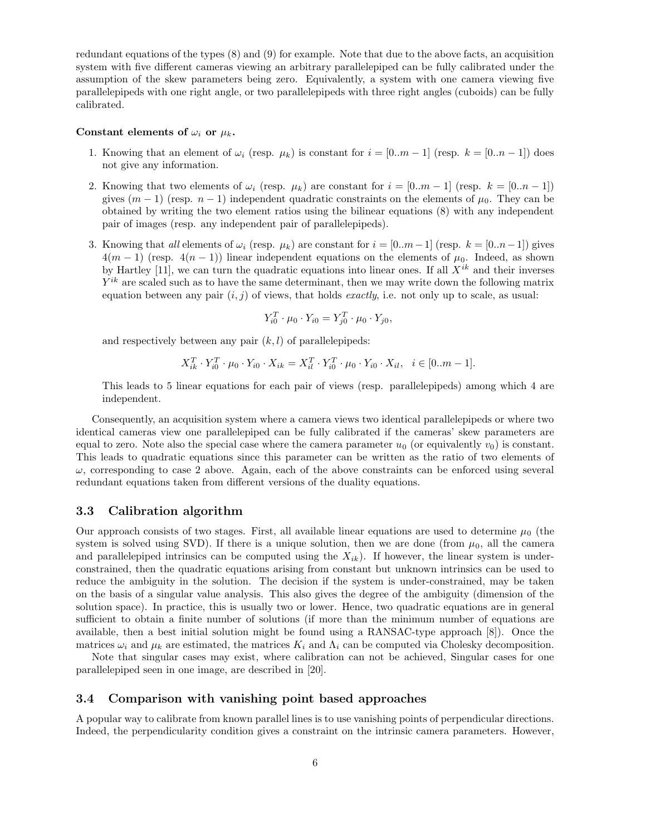redundant equations of the types (8) and (9) for example. Note that due to the above facts, an acquisition system with five different cameras viewing an arbitrary parallelepiped can be fully calibrated under the assumption of the skew parameters being zero. Equivalently, a system with one camera viewing five parallelepipeds with one right angle, or two parallelepipeds with three right angles (cuboids) can be fully calibrated.

#### Constant elements of  $\omega_i$  or  $\mu_k$ .

- 1. Knowing that an element of  $\omega_i$  (resp.  $\mu_k$ ) is constant for  $i = [0..m-1]$  (resp.  $k = [0..n-1]$ ) does not give any information.
- 2. Knowing that two elements of  $\omega_i$  (resp.  $\mu_k$ ) are constant for  $i = [0..m-1]$  (resp.  $k = [0..n-1]$ ) gives  $(m-1)$  (resp.  $n-1$ ) independent quadratic constraints on the elements of  $\mu_0$ . They can be obtained by writing the two element ratios using the bilinear equations (8) with any independent pair of images (resp. any independent pair of parallelepipeds).
- 3. Knowing that all elements of  $\omega_i$  (resp.  $\mu_k$ ) are constant for  $i = [0..m-1]$  (resp.  $k = [0..n-1]$ ) gives  $4(m-1)$  (resp.  $4(n-1)$ ) linear independent equations on the elements of  $\mu_0$ . Indeed, as shown by Hartley [11], we can turn the quadratic equations into linear ones. If all  $X^{ik}$  and their inverses  $Y^{ik}$  are scaled such as to have the same determinant, then we may write down the following matrix equation between any pair  $(i, j)$  of views, that holds *exactly*, i.e. not only up to scale, as usual:

$$
Y_{i0}^T \cdot \mu_0 \cdot Y_{i0} = Y_{j0}^T \cdot \mu_0 \cdot Y_{j0},
$$

and respectively between any pair  $(k, l)$  of parallelepipeds:

$$
X_{ik}^T \cdot Y_{i0}^T \cdot \mu_0 \cdot Y_{i0} \cdot X_{ik} = X_{il}^T \cdot Y_{i0}^T \cdot \mu_0 \cdot Y_{i0} \cdot X_{il}, \quad i \in [0..m-1].
$$

This leads to 5 linear equations for each pair of views (resp. parallelepipeds) among which 4 are independent.

Consequently, an acquisition system where a camera views two identical parallelepipeds or where two identical cameras view one parallelepiped can be fully calibrated if the cameras' skew parameters are equal to zero. Note also the special case where the camera parameter  $u_0$  (or equivalently  $v_0$ ) is constant. This leads to quadratic equations since this parameter can be written as the ratio of two elements of  $\omega$ , corresponding to case 2 above. Again, each of the above constraints can be enforced using several redundant equations taken from different versions of the duality equations.

#### 3.3 Calibration algorithm

Our approach consists of two stages. First, all available linear equations are used to determine  $\mu_0$  (the system is solved using SVD). If there is a unique solution, then we are done (from  $\mu_0$ , all the camera and parallelepiped intrinsics can be computed using the  $X_{ik}$ ). If however, the linear system is underconstrained, then the quadratic equations arising from constant but unknown intrinsics can be used to reduce the ambiguity in the solution. The decision if the system is under-constrained, may be taken on the basis of a singular value analysis. This also gives the degree of the ambiguity (dimension of the solution space). In practice, this is usually two or lower. Hence, two quadratic equations are in general sufficient to obtain a finite number of solutions (if more than the minimum number of equations are available, then a best initial solution might be found using a RANSAC-type approach [8]). Once the matrices  $\omega_i$  and  $\mu_k$  are estimated, the matrices  $K_i$  and  $\Lambda_i$  can be computed via Cholesky decomposition.

Note that singular cases may exist, where calibration can not be achieved, Singular cases for one parallelepiped seen in one image, are described in [20].

#### 3.4 Comparison with vanishing point based approaches

A popular way to calibrate from known parallel lines is to use vanishing points of perpendicular directions. Indeed, the perpendicularity condition gives a constraint on the intrinsic camera parameters. However,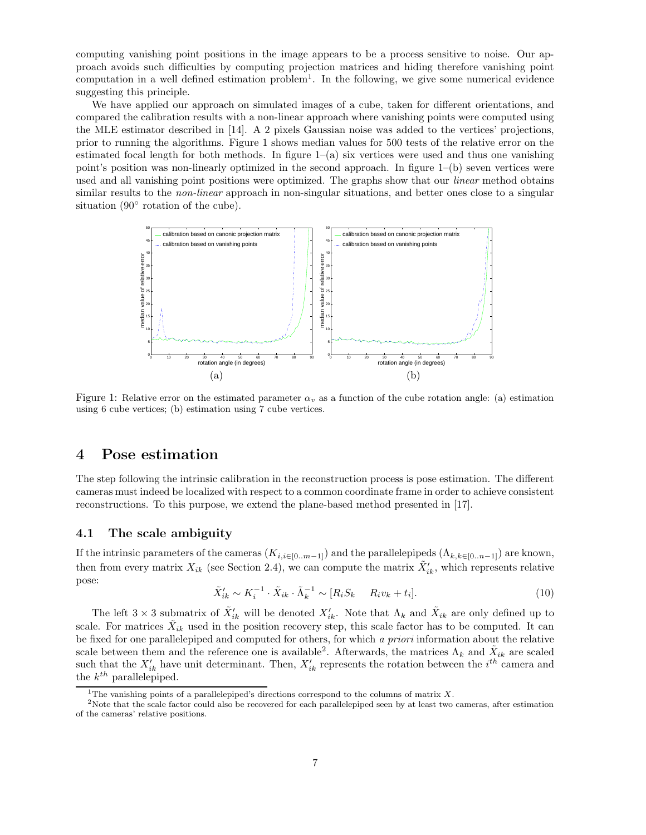computing vanishing point positions in the image appears to be a process sensitive to noise. Our approach avoids such difficulties by computing projection matrices and hiding therefore vanishing point computation in a well defined estimation problem<sup>1</sup>. In the following, we give some numerical evidence suggesting this principle.

We have applied our approach on simulated images of a cube, taken for different orientations, and compared the calibration results with a non-linear approach where vanishing points were computed using the MLE estimator described in [14]. A 2 pixels Gaussian noise was added to the vertices' projections, prior to running the algorithms. Figure 1 shows median values for 500 tests of the relative error on the estimated focal length for both methods. In figure  $1-(a)$  six vertices were used and thus one vanishing point's position was non-linearly optimized in the second approach. In figure 1–(b) seven vertices were used and all vanishing point positions were optimized. The graphs show that our *linear* method obtains similar results to the *non-linear* approach in non-singular situations, and better ones close to a singular situation (90° rotation of the cube).



Figure 1: Relative error on the estimated parameter  $\alpha_v$  as a function of the cube rotation angle: (a) estimation using 6 cube vertices; (b) estimation using 7 cube vertices.

## 4 Pose estimation

The step following the intrinsic calibration in the reconstruction process is pose estimation. The different cameras must indeed be localized with respect to a common coordinate frame in order to achieve consistent reconstructions. To this purpose, we extend the plane-based method presented in [17].

#### 4.1 The scale ambiguity

If the intrinsic parameters of the cameras  $(K_{i,i\in[0..m-1]})$  and the parallelepipeds  $(\Lambda_{k,k\in[0..n-1]})$  are known, then from every matrix  $X_{ik}$  (see Section 2.4), we can compute the matrix  $\tilde{X}'_{ik}$ , which represents relative pose:

$$
\tilde{X}_{ik}' \sim K_i^{-1} \cdot \tilde{X}_{ik} \cdot \tilde{\Lambda}_k^{-1} \sim [R_i S_k \quad R_i v_k + t_i]. \tag{10}
$$

The left  $3 \times 3$  submatrix of  $\tilde{X}'_{ik}$  will be denoted  $X'_{ik}$ . Note that  $\Lambda_k$  and  $\tilde{X}_{ik}$  are only defined up to scale. For matrices  $\tilde{X}_{ik}$  used in the position recovery step, this scale factor has to be computed. It can be fixed for one parallelepiped and computed for others, for which a priori information about the relative scale between them and the reference one is available<sup>2</sup>. Afterwards, the matrices  $\Lambda_k$  and  $\tilde{X}_{ik}$  are scaled such that the  $X'_{ik}$  have unit determinant. Then,  $X'_{ik}$  represents the rotation between the  $i^{th}$  camera and the  $k^{th}$  parallelepiped.

<sup>&</sup>lt;sup>1</sup>The vanishing points of a parallelepiped's directions correspond to the columns of matrix X.

 $2$ Note that the scale factor could also be recovered for each parallelepiped seen by at least two cameras, after estimation of the cameras' relative positions.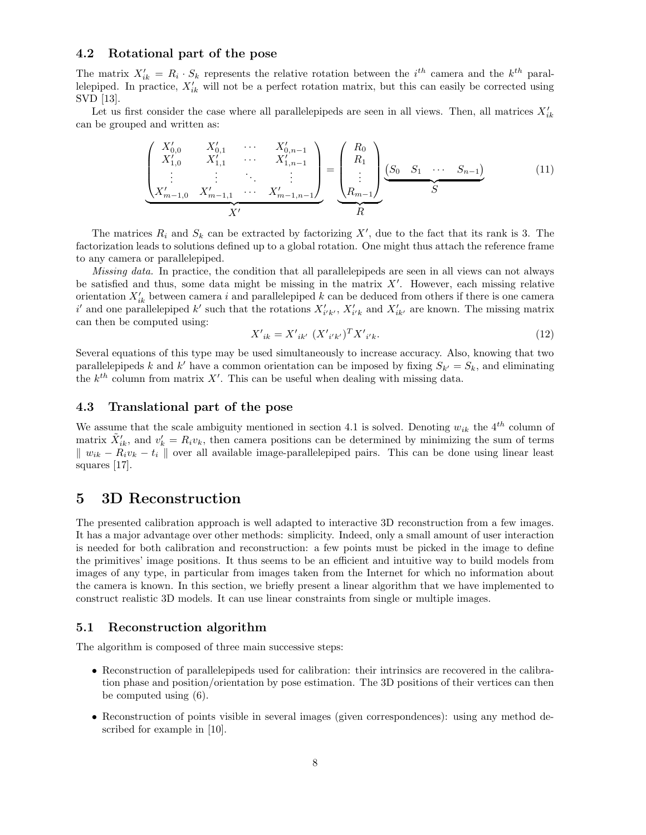#### 4.2 Rotational part of the pose

The matrix  $X'_{ik} = R_i \cdot S_k$  represents the relative rotation between the  $i^{th}$  camera and the  $k^{th}$  parallelepiped. In practice,  $X'_{ik}$  will not be a perfect rotation matrix, but this can easily be corrected using SVD [13].

Let us first consider the case where all parallelepipeds are seen in all views. Then, all matrices  $X'_{ik}$ can be grouped and written as:

$$
\underbrace{\begin{pmatrix} X'_{0,0} & X'_{0,1} & \cdots & X'_{0,n-1} \\ X'_{1,0} & X'_{1,1} & \cdots & X'_{1,n-1} \\ \vdots & \vdots & \ddots & \vdots \\ X'_{m-1,0} & X'_{m-1,1} & \cdots & X'_{m-1,n-1} \end{pmatrix}}_{X'} = \underbrace{\begin{pmatrix} R_0 \\ R_1 \\ \vdots \\ R_{m-1} \end{pmatrix}}_{R} \underbrace{\begin{pmatrix} S_0 & S_1 & \cdots & S_{n-1} \end{pmatrix}}_{S} \qquad (11)
$$

The matrices  $R_i$  and  $S_k$  can be extracted by factorizing X', due to the fact that its rank is 3. The factorization leads to solutions defined up to a global rotation. One might thus attach the reference frame to any camera or parallelepiped.

Missing data. In practice, the condition that all parallelepipeds are seen in all views can not always be satisfied and thus, some data might be missing in the matrix  $X'$ . However, each missing relative orientation  $X'_{ik}$  between camera i and parallelepiped k can be deduced from others if there is one camera i' and one parallelepiped k' such that the rotations  $X'_{i'k'}$ ,  $X'_{i'k}$  and  $X'_{ik'}$  are known. The missing matrix can then be computed using:

$$
X'_{ik} = X'_{ik'} \ (X'_{i'k'})^T X'_{i'k}.
$$
\n(12)

Several equations of this type may be used simultaneously to increase accuracy. Also, knowing that two parallelepipeds k and k' have a common orientation can be imposed by fixing  $S_{k'} = S_k$ , and eliminating the  $k^{th}$  column from matrix X'. This can be useful when dealing with missing data.

#### 4.3 Translational part of the pose

We assume that the scale ambiguity mentioned in section 4.1 is solved. Denoting  $w_{ik}$  the  $4^{th}$  column of matrix  $\tilde{X}'_{ik}$ , and  $v'_k = R_i v_k$ , then camera positions can be determined by minimizing the sum of terms  $\| w_{ik} - R_i v_k - t_i \|$  over all available image-parallelepiped pairs. This can be done using linear least squares [17].

## 5 3D Reconstruction

The presented calibration approach is well adapted to interactive 3D reconstruction from a few images. It has a major advantage over other methods: simplicity. Indeed, only a small amount of user interaction is needed for both calibration and reconstruction: a few points must be picked in the image to define the primitives' image positions. It thus seems to be an efficient and intuitive way to build models from images of any type, in particular from images taken from the Internet for which no information about the camera is known. In this section, we briefly present a linear algorithm that we have implemented to construct realistic 3D models. It can use linear constraints from single or multiple images.

#### 5.1 Reconstruction algorithm

The algorithm is composed of three main successive steps:

- Reconstruction of parallelepipeds used for calibration: their intrinsics are recovered in the calibration phase and position/orientation by pose estimation. The 3D positions of their vertices can then be computed using (6).
- Reconstruction of points visible in several images (given correspondences): using any method described for example in [10].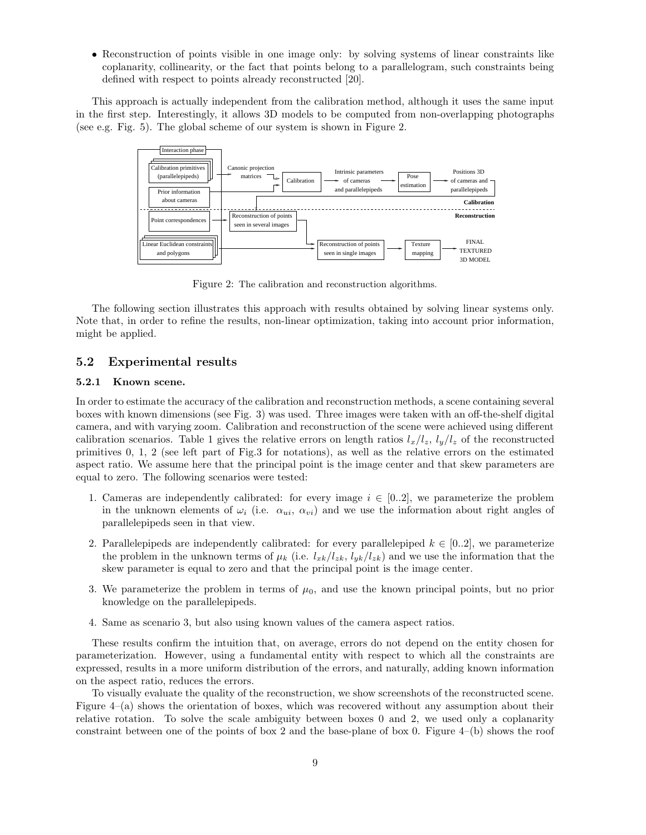• Reconstruction of points visible in one image only: by solving systems of linear constraints like coplanarity, collinearity, or the fact that points belong to a parallelogram, such constraints being defined with respect to points already reconstructed [20].

This approach is actually independent from the calibration method, although it uses the same input in the first step. Interestingly, it allows 3D models to be computed from non-overlapping photographs (see e.g. Fig. 5). The global scheme of our system is shown in Figure 2.



Figure 2: The calibration and reconstruction algorithms.

The following section illustrates this approach with results obtained by solving linear systems only. Note that, in order to refine the results, non-linear optimization, taking into account prior information, might be applied.

#### 5.2 Experimental results

#### 5.2.1 Known scene.

In order to estimate the accuracy of the calibration and reconstruction methods, a scene containing several boxes with known dimensions (see Fig. 3) was used. Three images were taken with an off-the-shelf digital camera, and with varying zoom. Calibration and reconstruction of the scene were achieved using different calibration scenarios. Table 1 gives the relative errors on length ratios  $l_x/l_z$ ,  $l_y/l_z$  of the reconstructed primitives 0, 1, 2 (see left part of Fig.3 for notations), as well as the relative errors on the estimated aspect ratio. We assume here that the principal point is the image center and that skew parameters are equal to zero. The following scenarios were tested:

- 1. Cameras are independently calibrated: for every image  $i \in [0..2]$ , we parameterize the problem in the unknown elements of  $\omega_i$  (i.e.  $\alpha_{ui}$ ,  $\alpha_{vi}$ ) and we use the information about right angles of parallelepipeds seen in that view.
- 2. Parallelepipeds are independently calibrated: for every parallelepiped  $k \in [0..2]$ , we parameterize the problem in the unknown terms of  $\mu_k$  (i.e.  $l_{xk}/l_{zk}$ ,  $l_{yk}/l_{zk}$ ) and we use the information that the skew parameter is equal to zero and that the principal point is the image center.
- 3. We parameterize the problem in terms of  $\mu_0$ , and use the known principal points, but no prior knowledge on the parallelepipeds.
- 4. Same as scenario 3, but also using known values of the camera aspect ratios.

These results confirm the intuition that, on average, errors do not depend on the entity chosen for parameterization. However, using a fundamental entity with respect to which all the constraints are expressed, results in a more uniform distribution of the errors, and naturally, adding known information on the aspect ratio, reduces the errors.

To visually evaluate the quality of the reconstruction, we show screenshots of the reconstructed scene. Figure 4–(a) shows the orientation of boxes, which was recovered without any assumption about their relative rotation. To solve the scale ambiguity between boxes 0 and 2, we used only a coplanarity constraint between one of the points of box 2 and the base-plane of box 0. Figure  $4-(b)$  shows the roof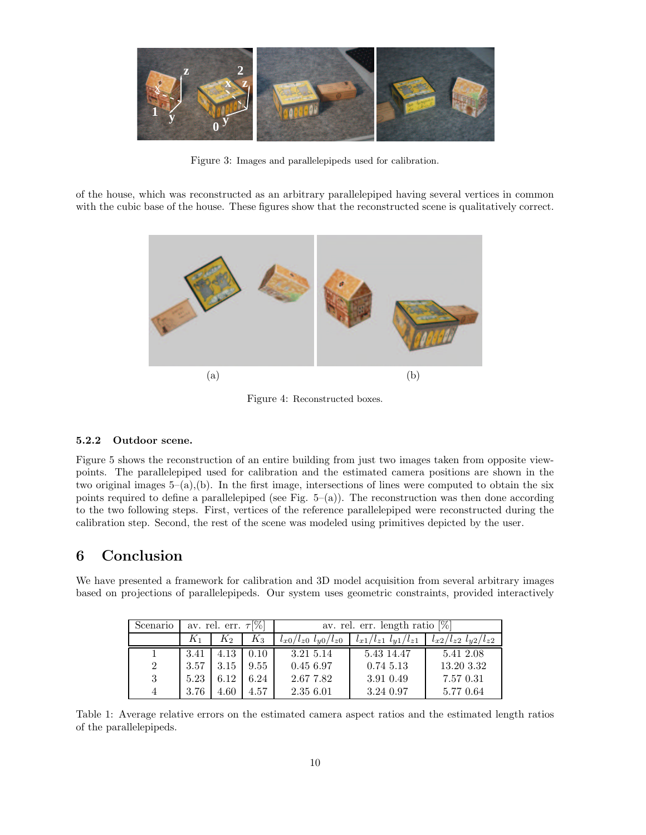

Figure 3: Images and parallelepipeds used for calibration.

of the house, which was reconstructed as an arbitrary parallelepiped having several vertices in common with the cubic base of the house. These figures show that the reconstructed scene is qualitatively correct.



Figure 4: Reconstructed boxes.

#### 5.2.2 Outdoor scene.

Figure 5 shows the reconstruction of an entire building from just two images taken from opposite viewpoints. The parallelepiped used for calibration and the estimated camera positions are shown in the two original images  $5-(a)$ , (b). In the first image, intersections of lines were computed to obtain the six points required to define a parallelepiped (see Fig.  $5-(a)$ ). The reconstruction was then done according to the two following steps. First, vertices of the reference parallelepiped were reconstructed during the calibration step. Second, the rest of the scene was modeled using primitives depicted by the user.

### 6 Conclusion

We have presented a framework for calibration and 3D model acquisition from several arbitrary images based on projections of parallelepipeds. Our system uses geometric constraints, provided interactively

| Scenario | av. rel. err. $\tau[\%]$ |          |       | av. rel. err. length ratio $[\%]$ |                                 |                                 |
|----------|--------------------------|----------|-------|-----------------------------------|---------------------------------|---------------------------------|
|          | $K_1$                    | $K_2$    | $K_3$ | $l_{x0}/l_{z0}$ $l_{y0}/l_{z0}$   | $l_{x1}/l_{z1}$ $l_{y1}/l_{z1}$ | $l_{x2}/l_{z2}$ $l_{y2}/l_{z2}$ |
|          | 3.41                     | 4.13     | 0.10  | 3.21 5.14                         | 5.43 14.47                      | 5.41 2.08                       |
| 2        | 3.57                     | 3.15     | 9.55  | 0.45 6.97                         | 0.74 5.13                       | 13.20 3.32                      |
| 3        | 5.23                     | 6.12     | 6.24  | 2.67 7.82                         | 3.91 0.49                       | 7.57 0.31                       |
|          | 3.76                     | $4.60\,$ | 4.57  | 2.35 6.01                         | 3.24 0.97                       | 5.77 0.64                       |

Table 1: Average relative errors on the estimated camera aspect ratios and the estimated length ratios of the parallelepipeds.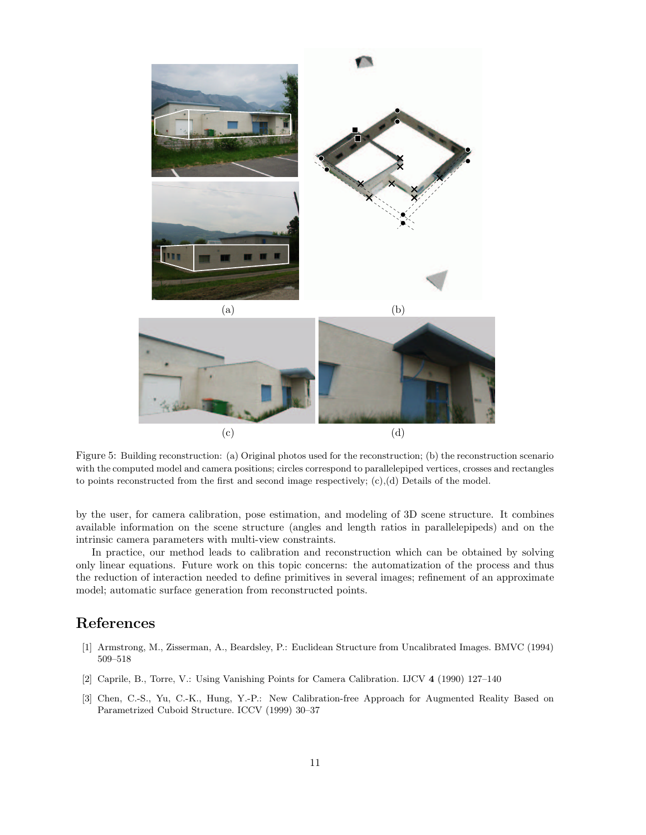

Figure 5: Building reconstruction: (a) Original photos used for the reconstruction; (b) the reconstruction scenario with the computed model and camera positions; circles correspond to parallelepiped vertices, crosses and rectangles to points reconstructed from the first and second image respectively;  $(c)$ , (d) Details of the model.

by the user, for camera calibration, pose estimation, and modeling of 3D scene structure. It combines available information on the scene structure (angles and length ratios in parallelepipeds) and on the intrinsic camera parameters with multi-view constraints.

In practice, our method leads to calibration and reconstruction which can be obtained by solving only linear equations. Future work on this topic concerns: the automatization of the process and thus the reduction of interaction needed to define primitives in several images; refinement of an approximate model; automatic surface generation from reconstructed points.

# References

- [1] Armstrong, M., Zisserman, A., Beardsley, P.: Euclidean Structure from Uncalibrated Images. BMVC (1994) 509–518
- [2] Caprile, B., Torre, V.: Using Vanishing Points for Camera Calibration. IJCV 4 (1990) 127–140
- [3] Chen, C.-S., Yu, C.-K., Hung, Y.-P.: New Calibration-free Approach for Augmented Reality Based on Parametrized Cuboid Structure. ICCV (1999) 30–37